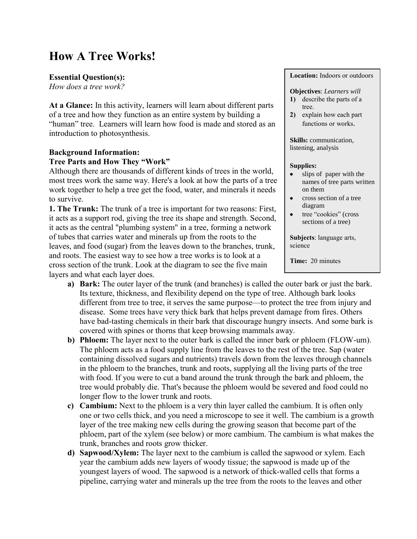# **How A Tree Works!**

# **Essential Question(s):**

*How does a tree work?*

**At a Glance:** In this activity, learners will learn about different parts of a tree and how they function as an entire system by building a "human" tree. Learners will learn how food is made and stored as an introduction to photosynthesis.

# **Background Information:**

# **Tree Parts and How They "Work"**

Although there are thousands of different kinds of trees in the world, most trees work the same way. Here's a look at how the parts of a tree work together to help a tree get the food, water, and minerals it needs to survive.

**1. The Trunk:** The trunk of a tree is important for two reasons: First, it acts as a support rod, giving the tree its shape and strength. Second, it acts as the central "plumbing system" in a tree, forming a network of tubes that carries water and minerals up from the roots to the leaves, and food (sugar) from the leaves down to the branches, trunk, and roots. The easiest way to see how a tree works is to look at a cross section of the trunk. Look at the diagram to see the five main layers and what each layer does.

- **a) Bark:** The outer layer of the trunk (and branches) is called the outer bark or just the bark. Its texture, thickness, and flexibility depend on the type of tree. Although bark looks different from tree to tree, it serves the same purpose—to protect the tree from injury and disease. Some trees have very thick bark that helps prevent damage from fires. Others have bad-tasting chemicals in their bark that discourage hungry insects. And some bark is covered with spines or thorns that keep browsing mammals away.
- **b) Phloem:** The layer next to the outer bark is called the inner bark or phloem (FLOW-um). The phloem acts as a food supply line from the leaves to the rest of the tree. Sap (water containing dissolved sugars and nutrients) travels down from the leaves through channels in the phloem to the branches, trunk and roots, supplying all the living parts of the tree with food. If you were to cut a band around the trunk through the bark and phloem, the tree would probably die. That's because the phloem would be severed and food could no longer flow to the lower trunk and roots.
- **c) Cambium:** Next to the phloem is a very thin layer called the cambium. It is often only one or two cells thick, and you need a microscope to see it well. The cambium is a growth layer of the tree making new cells during the growing season that become part of the phloem, part of the xylem (see below) or more cambium. The cambium is what makes the trunk, branches and roots grow thicker.
- **d) Sapwood/Xylem:** The layer next to the cambium is called the sapwood or xylem. Each year the cambium adds new layers of woody tissue; the sapwood is made up of the youngest layers of wood. The sapwood is a network of thick-walled cells that forms a pipeline, carrying water and minerals up the tree from the roots to the leaves and other

**Location:** Indoors or outdoors

#### **Objectives**: *Learners will*

- **1)** describe the parts of a tree.
- **2)** explain how each part functions or works.

**Skills:** communication, listening, analysis

#### **Supplies:**

- slips of paper with the names of tree parts written on them
- cross section of a tree diagram
- tree "cookies" (cross sections of a tree)

**Subjects**: language arts, science

**Time:** 20 minutes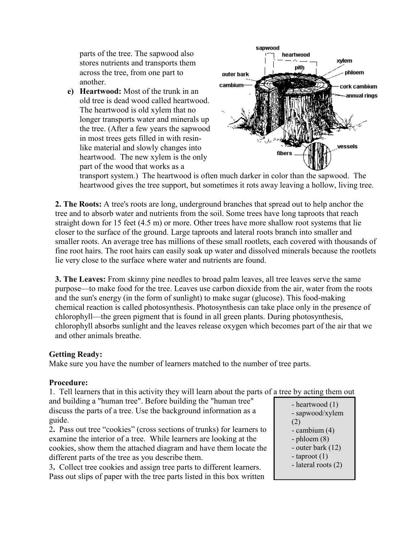parts of the tree. The sapwood also stores nutrients and transports them across the tree, from one part to another.

**e) Heartwood:** Most of the trunk in an old tree is dead wood called heartwood. The heartwood is old xylem that no longer transports water and minerals up the tree. (After a few years the sapwood in most trees gets filled in with resinlike material and slowly changes into heartwood. The new xylem is the only part of the wood that works as a



transport system.) The heartwood is often much darker in color than the sapwood. The heartwood gives the tree support, but sometimes it rots away leaving a hollow, living tree.

**2. The Roots:** A tree's roots are long, underground branches that spread out to help anchor the tree and to absorb water and nutrients from the soil. Some trees have long taproots that reach straight down for 15 feet (4.5 m) or more. Other trees have more shallow root systems that lie closer to the surface of the ground. Large taproots and lateral roots branch into smaller and smaller roots. An average tree has millions of these small rootlets, each covered with thousands of fine root hairs. The root hairs can easily soak up water and dissolved minerals because the rootlets lie very close to the surface where water and nutrients are found.

**3. The Leaves:** From skinny pine needles to broad palm leaves, all tree leaves serve the same purpose—to make food for the tree. Leaves use carbon dioxide from the air, water from the roots and the sun's energy (in the form of sunlight) to make sugar (glucose). This food-making chemical reaction is called photosynthesis. Photosynthesis can take place only in the presence of chlorophyll—the green pigment that is found in all green plants. During photosynthesis, chlorophyll absorbs sunlight and the leaves release oxygen which becomes part of the air that we and other animals breathe.

## **Getting Ready:**

Make sure you have the number of learners matched to the number of tree parts.

## **Procedure:**

1. Tell learners that in this activity they will learn about the parts of a tree by acting them out

and building a "human tree". Before building the "human tree" discuss the parts of a tree. Use the background information as a guide.

2**.** Pass out tree "cookies" (cross sections of trunks) for learners to examine the interior of a tree. While learners are looking at the cookies, show them the attached diagram and have them locate the different parts of the tree as you describe them.

3**.** Collect tree cookies and assign tree parts to different learners. Pass out slips of paper with the tree parts listed in this box written

- heartwood (1) - sapwood/xylem (2) - cambium (4) - phloem (8) - outer bark (12) - taproot (1) - lateral roots (2)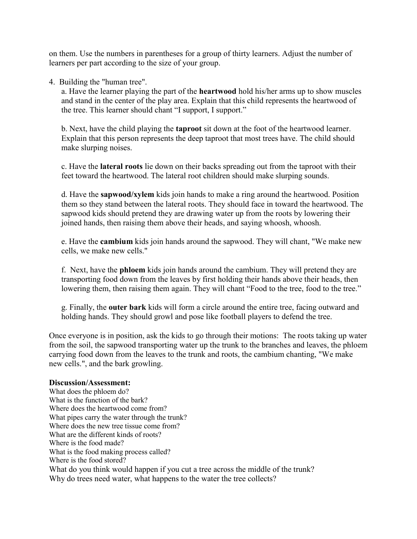on them. Use the numbers in parentheses for a group of thirty learners. Adjust the number of learners per part according to the size of your group.

4. Building the "human tree".

a. Have the learner playing the part of the **heartwood** hold his/her arms up to show muscles and stand in the center of the play area. Explain that this child represents the heartwood of the tree. This learner should chant "I support, I support."

b. Next, have the child playing the **taproot** sit down at the foot of the heartwood learner. Explain that this person represents the deep taproot that most trees have. The child should make slurping noises.

c. Have the **lateral roots** lie down on their backs spreading out from the taproot with their feet toward the heartwood. The lateral root children should make slurping sounds.

d. Have the **sapwood/xylem** kids join hands to make a ring around the heartwood. Position them so they stand between the lateral roots. They should face in toward the heartwood. The sapwood kids should pretend they are drawing water up from the roots by lowering their joined hands, then raising them above their heads, and saying whoosh, whoosh.

e. Have the **cambium** kids join hands around the sapwood. They will chant, "We make new cells, we make new cells."

f. Next, have the **phloem** kids join hands around the cambium. They will pretend they are transporting food down from the leaves by first holding their hands above their heads, then lowering them, then raising them again. They will chant "Food to the tree, food to the tree."

g. Finally, the **outer bark** kids will form a circle around the entire tree, facing outward and holding hands. They should growl and pose like football players to defend the tree.

Once everyone is in position, ask the kids to go through their motions: The roots taking up water from the soil, the sapwood transporting water up the trunk to the branches and leaves, the phloem carrying food down from the leaves to the trunk and roots, the cambium chanting, "We make new cells.", and the bark growling.

## **Discussion/Assessment:**

What does the phloem do? What is the function of the bark? Where does the heartwood come from? What pipes carry the water through the trunk? Where does the new tree tissue come from? What are the different kinds of roots? Where is the food made? What is the food making process called? Where is the food stored? What do you think would happen if you cut a tree across the middle of the trunk? Why do trees need water, what happens to the water the tree collects?